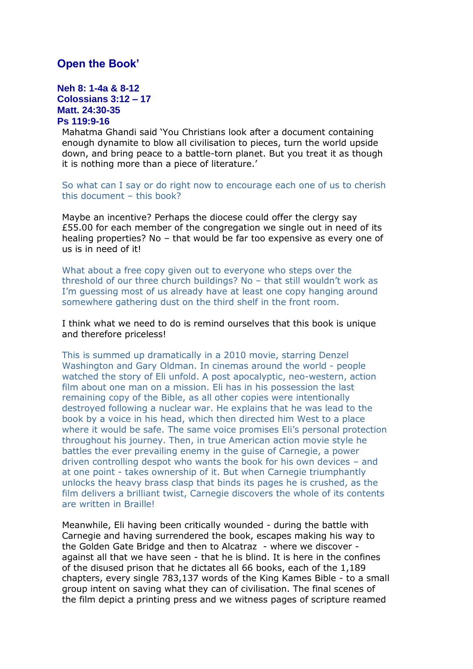## **Open the Book'**

## **Neh 8: 1-4a & 8-12 Colossians 3:12 – 17 Matt. 24:30-35 Ps 119:9-16**

Mahatma Ghandi said 'You Christians look after a document containing enough dynamite to blow all civilisation to pieces, turn the world upside down, and bring peace to a battle-torn planet. But you treat it as though it is nothing more than a piece of literature.'

So what can I say or do right now to encourage each one of us to cherish this document – this book?

Maybe an incentive? Perhaps the diocese could offer the clergy say £55.00 for each member of the congregation we single out in need of its healing properties? No – that would be far too expensive as every one of us is in need of it!

What about a free copy given out to everyone who steps over the threshold of our three church buildings? No – that still wouldn't work as I'm guessing most of us already have at least one copy hanging around somewhere gathering dust on the third shelf in the front room.

I think what we need to do is remind ourselves that this book is unique and therefore priceless!

This is summed up dramatically in a 2010 movie, starring Denzel Washington and Gary Oldman. In cinemas around the world - people watched the story of Eli unfold. A post apocalyptic, neo-western, action film about one man on a mission. Eli has in his possession the last remaining copy of the Bible, as all other copies were intentionally destroyed following a nuclear war. He explains that he was lead to the book by a voice in his head, which then directed him West to a place where it would be safe. The same voice promises Eli's personal protection throughout his journey. Then, in true American action movie style he battles the ever prevailing enemy in the guise of Carnegie, a power driven controlling despot who wants the book for his own devices – and at one point - takes ownership of it. But when Carnegie triumphantly unlocks the heavy brass clasp that binds its pages he is crushed, as the film delivers a brilliant twist, Carnegie discovers the whole of its contents are written in Braille!

Meanwhile, Eli having been critically wounded - during the battle with Carnegie and having surrendered the book, escapes making his way to the Golden Gate Bridge and then to Alcatraz - where we discover against all that we have seen - that he is blind. It is here in the confines of the disused prison that he dictates all 66 books, each of the 1,189 chapters, every single 783,137 words of the King Kames Bible - to a small group intent on saving what they can of civilisation. The final scenes of the film depict a printing press and we witness pages of scripture reamed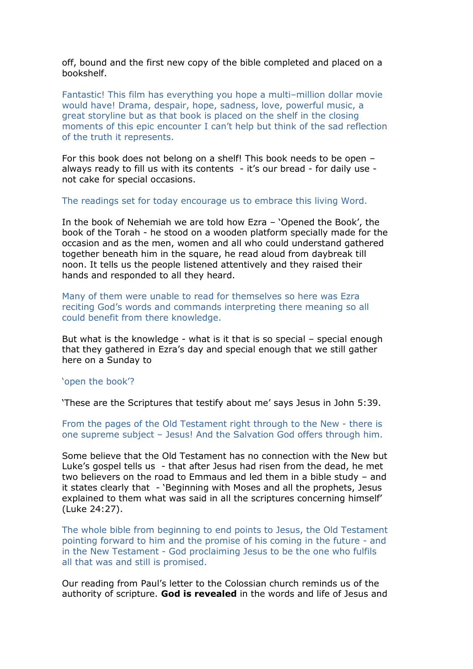off, bound and the first new copy of the bible completed and placed on a bookshelf.

Fantastic! This film has everything you hope a multi–million dollar movie would have! Drama, despair, hope, sadness, love, powerful music, a great storyline but as that book is placed on the shelf in the closing moments of this epic encounter I can't help but think of the sad reflection of the truth it represents.

For this book does not belong on a shelf! This book needs to be open – always ready to fill us with its contents - it's our bread - for daily use not cake for special occasions.

The readings set for today encourage us to embrace this living Word.

In the book of Nehemiah we are told how Ezra – 'Opened the Book', the book of the Torah - he stood on a wooden platform specially made for the occasion and as the men, women and all who could understand gathered together beneath him in the square, he read aloud from daybreak till noon. It tells us the people listened attentively and they raised their hands and responded to all they heard.

Many of them were unable to read for themselves so here was Ezra reciting God's words and commands interpreting there meaning so all could benefit from there knowledge.

But what is the knowledge - what is it that is so special – special enough that they gathered in Ezra's day and special enough that we still gather here on a Sunday to

## 'open the book'?

'These are the Scriptures that testify about me' says Jesus in John 5:39.

From the pages of the Old Testament right through to the New - there is one supreme subject – Jesus! And the Salvation God offers through him.

Some believe that the Old Testament has no connection with the New but Luke's gospel tells us - that after Jesus had risen from the dead, he met two believers on the road to Emmaus and led them in a bible study – and it states clearly that - 'Beginning with Moses and all the prophets, Jesus explained to them what was said in all the scriptures concerning himself' (Luke 24:27).

The whole bible from beginning to end points to Jesus, the Old Testament pointing forward to him and the promise of his coming in the future - and in the New Testament - God proclaiming Jesus to be the one who fulfils all that was and still is promised.

Our reading from Paul's letter to the Colossian church reminds us of the authority of scripture. **God is revealed** in the words and life of Jesus and